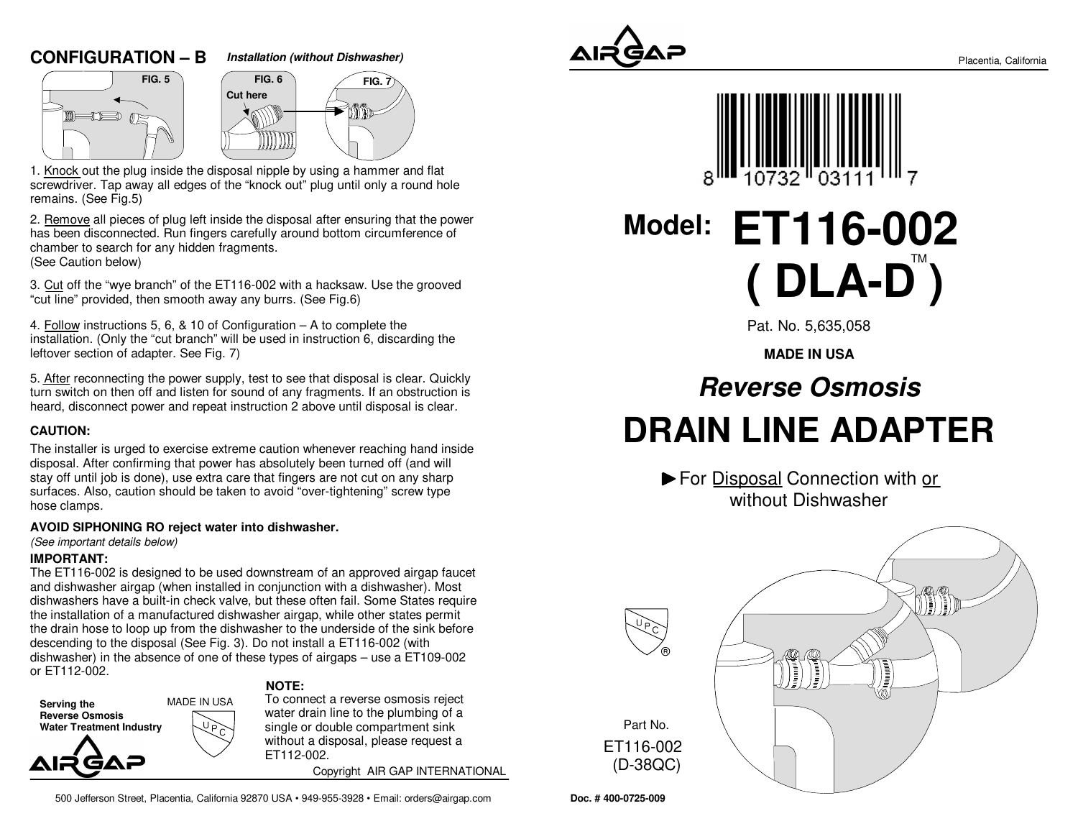### **CONFIGURATION – B**







1. Knock out the plug inside the disposal nipple by using a hammer and flat screwdriver. Tap away all edges of the "knock out" plug until only a round holeremains. (See Fig.5)

2. Remove all pieces of plug left inside the disposal after ensuring that the powerhas been disconnected. Run fingers carefully around bottom circumference of chamber to search for any hidden fragments.(See Caution below)

3. Cut off the "wye branch" of the ET116-002 with a hacksaw. Use the grooved"cut line" provided, then smooth away any burrs. (See Fig.6)

4. Follow instructions 5, 6, & 10 of Configuration – A to complete the installation. (Only the "cut branch" will be used in instruction 6, discarding theleftover section of adapter. See Fig. 7)

5. After reconnecting the power supply, test to see that disposal is clear. Quickly turn switch on then off and listen for sound of any fragments. If an obstruction isheard, disconnect power and repeat instruction 2 above until disposal is clear.

### **CAUTION:**

The installer is urged to exercise extreme caution whenever reaching hand insidedisposal. After confirming that power has absolutely been turned off (and will stay off until job is done), use extra care that fingers are not cut on any sharp surfaces. Also, caution should be taken to avoid "over-tightening" screw typehose clamps.

### **AVOID SIPHONING RO reject water into dishwasher.**

(See important details below)

### **IMPORTANT:**

 The ET116-002 is designed to be used downstream of an approved airgap faucetand dishwasher airgap (when installed in conjunction with a dishwasher). Most dishwashers have a built-in check valve, but these often fail. Some States requirethe installation of a manufactured dishwasher airgap, while other states permit the drain hose to loop up from the dishwasher to the underside of the sink beforedescending to the disposal (See Fig. 3). Do not install a ET116-002 (with dishwasher) in the absence of one of these types of airgaps – use a ET109-002or ET112-002.

**Serving the Reverse Osmosis** MADE IN USA

**Water Treatment Industry**

GAZ

**NOTE:**

 To connect a reverse osmosis reject water drain line to the plumbing of a single or double compartment sink without a disposal, please request aET112-002.

Copyright AIR GAP INTERNATIONAL

500 Jefferson Street, Placentia, California 92870 USA • 949-955-3928 • Email: orders@airgap.com





**Model: ET116-002( DLA-D )** 

Pat. No. 5,635,058

**MADE IN USA**

# **Reverse OsmosisDRAIN LINE ADAPTER**

▶ For Disposal Connection with or without Dishwasher